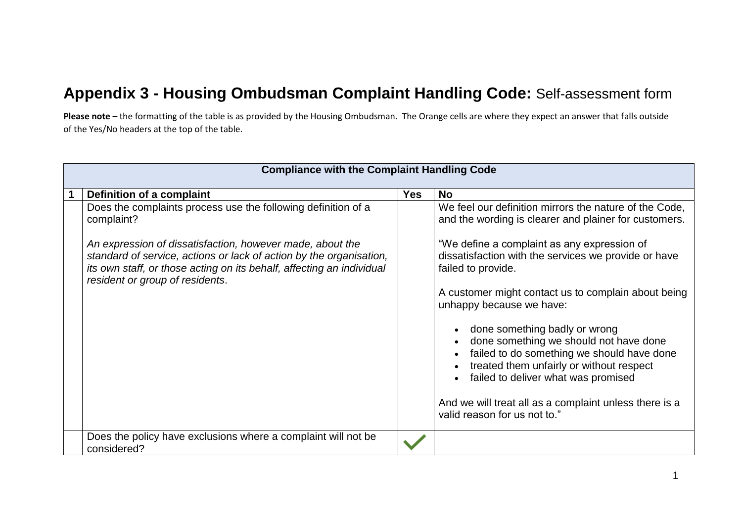## **Appendix 3 - Housing Ombudsman Complaint Handling Code:** Self-assessment form

**Please note** – the formatting of the table is as provided by the Housing Ombudsman. The Orange cells are where they expect an answer that falls outside of the Yes/No headers at the top of the table.

| <b>Compliance with the Complaint Handling Code</b>                                                                                                                                                                                           |            |                                                                                                                                                                                                          |  |
|----------------------------------------------------------------------------------------------------------------------------------------------------------------------------------------------------------------------------------------------|------------|----------------------------------------------------------------------------------------------------------------------------------------------------------------------------------------------------------|--|
| Definition of a complaint                                                                                                                                                                                                                    | <b>Yes</b> | <b>No</b>                                                                                                                                                                                                |  |
| Does the complaints process use the following definition of a<br>complaint?                                                                                                                                                                  |            | We feel our definition mirrors the nature of the Code,<br>and the wording is clearer and plainer for customers.                                                                                          |  |
| An expression of dissatisfaction, however made, about the<br>standard of service, actions or lack of action by the organisation,<br>its own staff, or those acting on its behalf, affecting an individual<br>resident or group of residents. |            | "We define a complaint as any expression of<br>dissatisfaction with the services we provide or have<br>failed to provide.                                                                                |  |
|                                                                                                                                                                                                                                              |            | A customer might contact us to complain about being<br>unhappy because we have:                                                                                                                          |  |
|                                                                                                                                                                                                                                              |            | done something badly or wrong<br>done something we should not have done<br>failed to do something we should have done<br>treated them unfairly or without respect<br>failed to deliver what was promised |  |
|                                                                                                                                                                                                                                              |            | And we will treat all as a complaint unless there is a<br>valid reason for us not to."                                                                                                                   |  |
| Does the policy have exclusions where a complaint will not be<br>considered?                                                                                                                                                                 |            |                                                                                                                                                                                                          |  |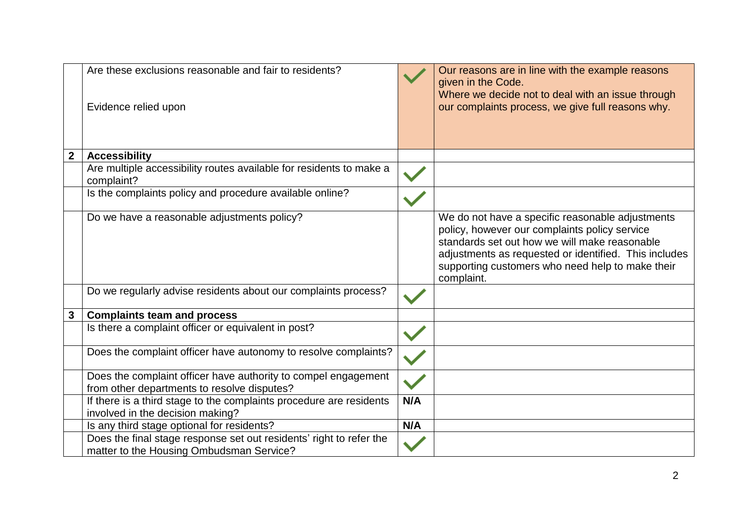|                | Are these exclusions reasonable and fair to residents?<br>Evidence relied upon                                  |     | Our reasons are in line with the example reasons<br>given in the Code.<br>Where we decide not to deal with an issue through<br>our complaints process, we give full reasons why.                                                                                              |
|----------------|-----------------------------------------------------------------------------------------------------------------|-----|-------------------------------------------------------------------------------------------------------------------------------------------------------------------------------------------------------------------------------------------------------------------------------|
| $\overline{2}$ | <b>Accessibility</b>                                                                                            |     |                                                                                                                                                                                                                                                                               |
|                | Are multiple accessibility routes available for residents to make a<br>complaint?                               |     |                                                                                                                                                                                                                                                                               |
|                | Is the complaints policy and procedure available online?                                                        |     |                                                                                                                                                                                                                                                                               |
|                | Do we have a reasonable adjustments policy?                                                                     |     | We do not have a specific reasonable adjustments<br>policy, however our complaints policy service<br>standards set out how we will make reasonable<br>adjustments as requested or identified. This includes<br>supporting customers who need help to make their<br>complaint. |
|                | Do we regularly advise residents about our complaints process?                                                  |     |                                                                                                                                                                                                                                                                               |
| $\mathbf{3}$   | <b>Complaints team and process</b>                                                                              |     |                                                                                                                                                                                                                                                                               |
|                | Is there a complaint officer or equivalent in post?                                                             |     |                                                                                                                                                                                                                                                                               |
|                | Does the complaint officer have autonomy to resolve complaints?                                                 |     |                                                                                                                                                                                                                                                                               |
|                | Does the complaint officer have authority to compel engagement<br>from other departments to resolve disputes?   |     |                                                                                                                                                                                                                                                                               |
|                | If there is a third stage to the complaints procedure are residents<br>involved in the decision making?         | N/A |                                                                                                                                                                                                                                                                               |
|                | Is any third stage optional for residents?                                                                      | N/A |                                                                                                                                                                                                                                                                               |
|                | Does the final stage response set out residents' right to refer the<br>matter to the Housing Ombudsman Service? |     |                                                                                                                                                                                                                                                                               |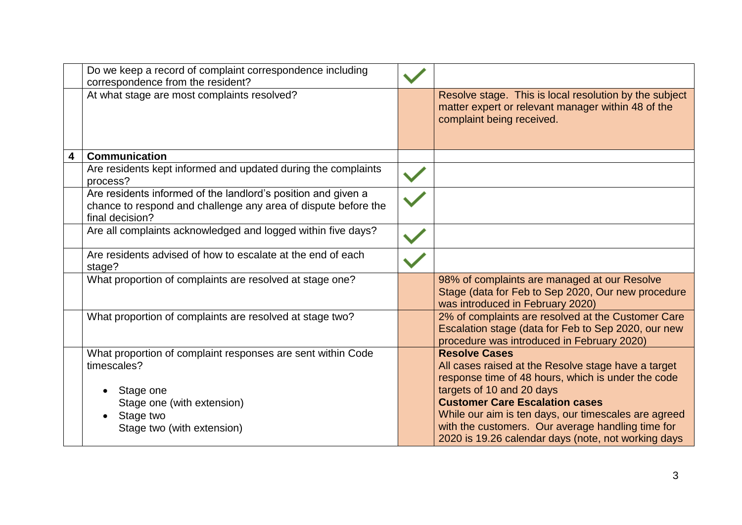|   | Do we keep a record of complaint correspondence including<br>correspondence from the resident?                                                                   |                                                                                                                                                                                                                                                                                                                                                                             |
|---|------------------------------------------------------------------------------------------------------------------------------------------------------------------|-----------------------------------------------------------------------------------------------------------------------------------------------------------------------------------------------------------------------------------------------------------------------------------------------------------------------------------------------------------------------------|
|   | At what stage are most complaints resolved?                                                                                                                      | Resolve stage. This is local resolution by the subject<br>matter expert or relevant manager within 48 of the<br>complaint being received.                                                                                                                                                                                                                                   |
| 4 | <b>Communication</b>                                                                                                                                             |                                                                                                                                                                                                                                                                                                                                                                             |
|   | Are residents kept informed and updated during the complaints<br>process?                                                                                        |                                                                                                                                                                                                                                                                                                                                                                             |
|   | Are residents informed of the landlord's position and given a<br>chance to respond and challenge any area of dispute before the<br>final decision?               |                                                                                                                                                                                                                                                                                                                                                                             |
|   | Are all complaints acknowledged and logged within five days?                                                                                                     |                                                                                                                                                                                                                                                                                                                                                                             |
|   | Are residents advised of how to escalate at the end of each<br>stage?                                                                                            |                                                                                                                                                                                                                                                                                                                                                                             |
|   | What proportion of complaints are resolved at stage one?                                                                                                         | 98% of complaints are managed at our Resolve<br>Stage (data for Feb to Sep 2020, Our new procedure<br>was introduced in February 2020)                                                                                                                                                                                                                                      |
|   | What proportion of complaints are resolved at stage two?                                                                                                         | 2% of complaints are resolved at the Customer Care<br>Escalation stage (data for Feb to Sep 2020, our new<br>procedure was introduced in February 2020)                                                                                                                                                                                                                     |
|   | What proportion of complaint responses are sent within Code<br>timescales?<br>Stage one<br>Stage one (with extension)<br>Stage two<br>Stage two (with extension) | <b>Resolve Cases</b><br>All cases raised at the Resolve stage have a target<br>response time of 48 hours, which is under the code<br>targets of 10 and 20 days<br><b>Customer Care Escalation cases</b><br>While our aim is ten days, our timescales are agreed<br>with the customers. Our average handling time for<br>2020 is 19.26 calendar days (note, not working days |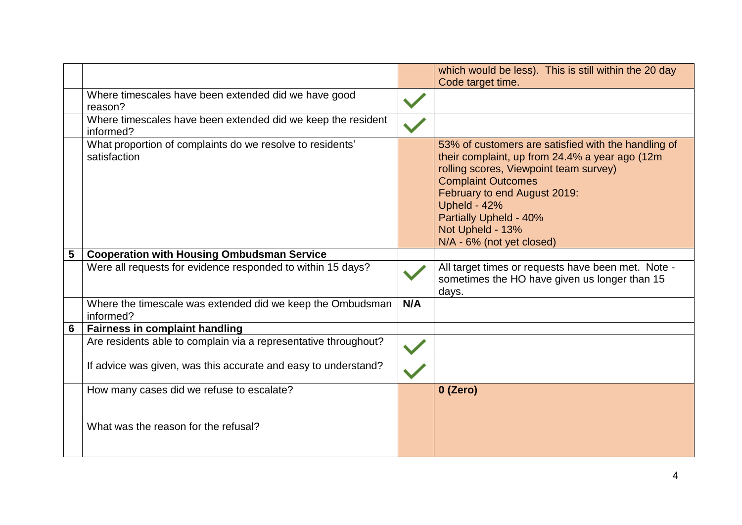|   |                                                                                   |     | which would be less). This is still within the 20 day                                                                                                                                                                                                                                                          |
|---|-----------------------------------------------------------------------------------|-----|----------------------------------------------------------------------------------------------------------------------------------------------------------------------------------------------------------------------------------------------------------------------------------------------------------------|
|   |                                                                                   |     | Code target time.                                                                                                                                                                                                                                                                                              |
|   | Where timescales have been extended did we have good<br>reason?                   |     |                                                                                                                                                                                                                                                                                                                |
|   | Where timescales have been extended did we keep the resident<br>informed?         |     |                                                                                                                                                                                                                                                                                                                |
|   | What proportion of complaints do we resolve to residents'<br>satisfaction         |     | 53% of customers are satisfied with the handling of<br>their complaint, up from 24.4% a year ago (12m<br>rolling scores, Viewpoint team survey)<br><b>Complaint Outcomes</b><br>February to end August 2019:<br>Upheld - 42%<br><b>Partially Upheld - 40%</b><br>Not Upheld - 13%<br>N/A - 6% (not yet closed) |
| 5 | <b>Cooperation with Housing Ombudsman Service</b>                                 |     |                                                                                                                                                                                                                                                                                                                |
|   | Were all requests for evidence responded to within 15 days?                       |     | All target times or requests have been met. Note -<br>sometimes the HO have given us longer than 15<br>days.                                                                                                                                                                                                   |
|   | Where the timescale was extended did we keep the Ombudsman<br>informed?           | N/A |                                                                                                                                                                                                                                                                                                                |
| 6 | <b>Fairness in complaint handling</b>                                             |     |                                                                                                                                                                                                                                                                                                                |
|   | Are residents able to complain via a representative throughout?                   |     |                                                                                                                                                                                                                                                                                                                |
|   | If advice was given, was this accurate and easy to understand?                    |     |                                                                                                                                                                                                                                                                                                                |
|   | How many cases did we refuse to escalate?<br>What was the reason for the refusal? |     | 0 (Zero)                                                                                                                                                                                                                                                                                                       |
|   |                                                                                   |     |                                                                                                                                                                                                                                                                                                                |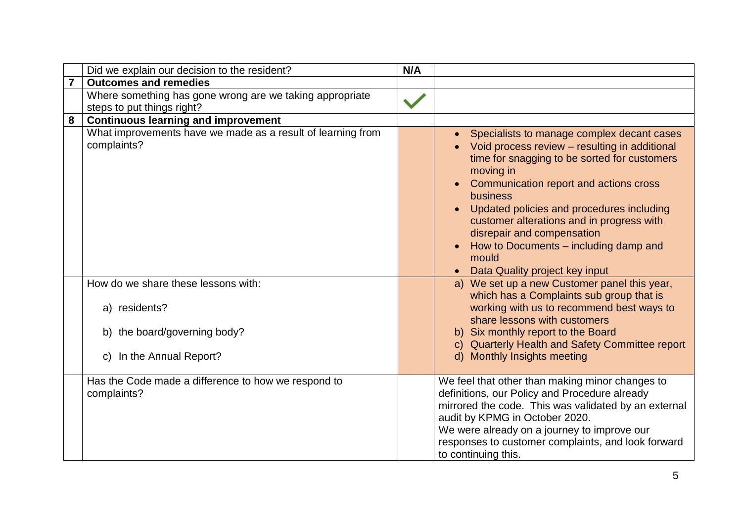|   | Did we explain our decision to the resident?                                                                      | N/A |                                                                                                                                                                                                                                                                                                                                                                                                                                                                                                                   |
|---|-------------------------------------------------------------------------------------------------------------------|-----|-------------------------------------------------------------------------------------------------------------------------------------------------------------------------------------------------------------------------------------------------------------------------------------------------------------------------------------------------------------------------------------------------------------------------------------------------------------------------------------------------------------------|
|   | <b>Outcomes and remedies</b>                                                                                      |     |                                                                                                                                                                                                                                                                                                                                                                                                                                                                                                                   |
|   | Where something has gone wrong are we taking appropriate<br>steps to put things right?                            |     |                                                                                                                                                                                                                                                                                                                                                                                                                                                                                                                   |
| 8 | <b>Continuous learning and improvement</b>                                                                        |     |                                                                                                                                                                                                                                                                                                                                                                                                                                                                                                                   |
|   | What improvements have we made as a result of learning from<br>complaints?<br>How do we share these lessons with: |     | Specialists to manage complex decant cases<br>$\bullet$<br>Void process review - resulting in additional<br>time for snagging to be sorted for customers<br>moving in<br>Communication report and actions cross<br>business<br>Updated policies and procedures including<br>$\bullet$<br>customer alterations and in progress with<br>disrepair and compensation<br>How to Documents – including damp and<br>mould<br>Data Quality project key input<br>$\bullet$<br>a) We set up a new Customer panel this year, |
|   | a) residents?                                                                                                     |     | which has a Complaints sub group that is<br>working with us to recommend best ways to<br>share lessons with customers                                                                                                                                                                                                                                                                                                                                                                                             |
|   | b) the board/governing body?                                                                                      |     | b) Six monthly report to the Board<br>c) Quarterly Health and Safety Committee report                                                                                                                                                                                                                                                                                                                                                                                                                             |
|   | c) In the Annual Report?                                                                                          |     | d) Monthly Insights meeting                                                                                                                                                                                                                                                                                                                                                                                                                                                                                       |
|   | Has the Code made a difference to how we respond to<br>complaints?                                                |     | We feel that other than making minor changes to<br>definitions, our Policy and Procedure already<br>mirrored the code. This was validated by an external<br>audit by KPMG in October 2020.<br>We were already on a journey to improve our<br>responses to customer complaints, and look forward<br>to continuing this.                                                                                                                                                                                            |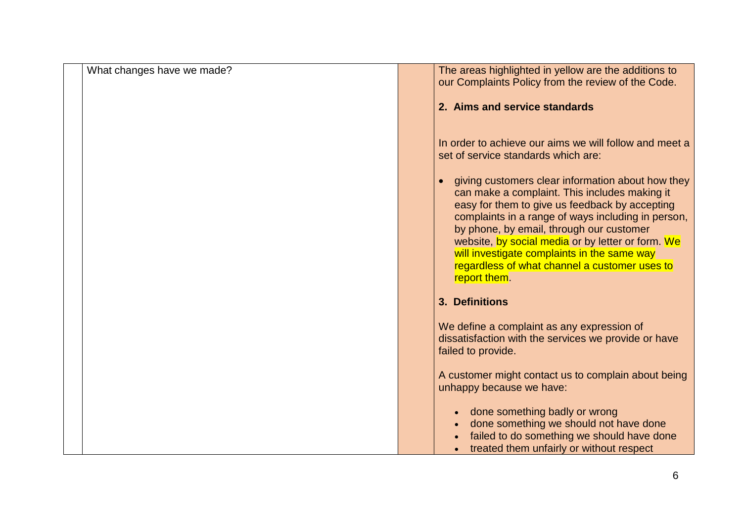| What changes have we made? | The areas highlighted in yellow are the additions to                                                 |
|----------------------------|------------------------------------------------------------------------------------------------------|
|                            | our Complaints Policy from the review of the Code.                                                   |
|                            | 2. Aims and service standards                                                                        |
|                            |                                                                                                      |
|                            |                                                                                                      |
|                            | In order to achieve our aims we will follow and meet a<br>set of service standards which are:        |
|                            |                                                                                                      |
|                            | giving customers clear information about how they                                                    |
|                            | can make a complaint. This includes making it                                                        |
|                            | easy for them to give us feedback by accepting<br>complaints in a range of ways including in person, |
|                            | by phone, by email, through our customer                                                             |
|                            | website, by social media or by letter or form. We                                                    |
|                            | will investigate complaints in the same way<br>regardless of what channel a customer uses to         |
|                            | report them.                                                                                         |
|                            |                                                                                                      |
|                            | 3. Definitions                                                                                       |
|                            | We define a complaint as any expression of                                                           |
|                            | dissatisfaction with the services we provide or have                                                 |
|                            | failed to provide.                                                                                   |
|                            | A customer might contact us to complain about being                                                  |
|                            | unhappy because we have:                                                                             |
|                            |                                                                                                      |
|                            | done something badly or wrong<br>done something we should not have done                              |
|                            | failed to do something we should have done                                                           |
|                            | treated them unfairly or without respect                                                             |